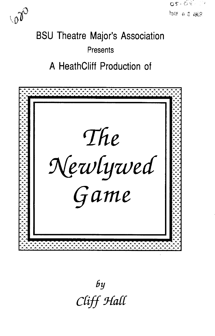



# **BSU Theatre Major's Association Presents**

# A HeathCliff Production of



by Cliff Hall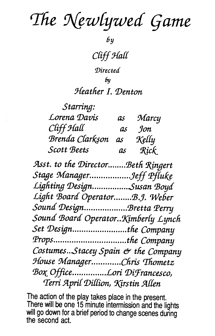The Newlywed Game

 $6y$ 

Cliff Hall

Directed

bи

## Heather I. Denton

| Starring:       |    |       |
|-----------------|----|-------|
| Lorena Davis    | as | Marcy |
| Cliff Hall      | as | Jon   |
| Brenda Clarkson | as | Kelly |
| Scott Beets     | as | Rick  |

Asst. to the Director........Beth Ringert Stage Manager...................Jeff Pfluke Lighting Design................Susan Boyd Light Board Operator........B.J. Weber Sound Design...................Bretta Perry Sound Board Operator. Kimberly Lynch Set Design.......................the Company Props................................the Company Costumes...Stacey Spain & the Company House Manager.............Chris Thometz Box Office................Lori DiFrancesco, Terri April Dillion, Kirstin Allen

The action of the play takes place in the present. There will be one 15 minute intermission and the lights will go down for a brief period to change scenes during the second act.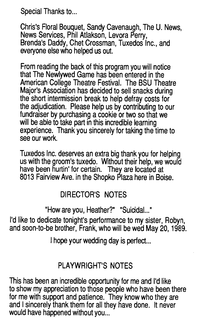Special Thanks to...

Chris's Floral Bouquet, Sandy Cavenaugh, The U. News, News Services, Phil Atlakson, Levora Perry,<br>Brenda's Daddy, Chet Crossman, Tuxedos Inc., and everyone else who helped us out.

From reading the back of this program you will notice that The Newlywed Game has been entered in the American College Theatre Festival. The BSU Theatre<br>Major's Association has decided to sell snacks during the short intermission break to help defray costs for the adjudication. Please help us by contributing to our fundraiser by purchasing a cookie or two so that we will be able to take part in this incredible learning experience. Thank you sincerely for taking the time to see our work.

Tuxedos Inc. deserves an extra big thank you for helping us with the groom's tuxedo. Without their help, we would have been hurtin' for certain. They are located at 8013 Fairview Ave. in the Shapka Plaza here in Boise.

### DIRECTOR'S NOTES

"How are you, Heather?" "Suicidal..."

I'd like to dedicate tonight's performance to my sister, Robyn, and soon-to-be brother, Frank, who will be wed May 20, 1989.

I hope your wedding day is perfect...

### PLAYWRIGHT'S NOTES

This has been an incredible opportunity for me and I'd like to show my appreciation to those people who have been there for me with support and patience. They know who they are and I sincerely thank them for all they have done. It never would have happened without you...